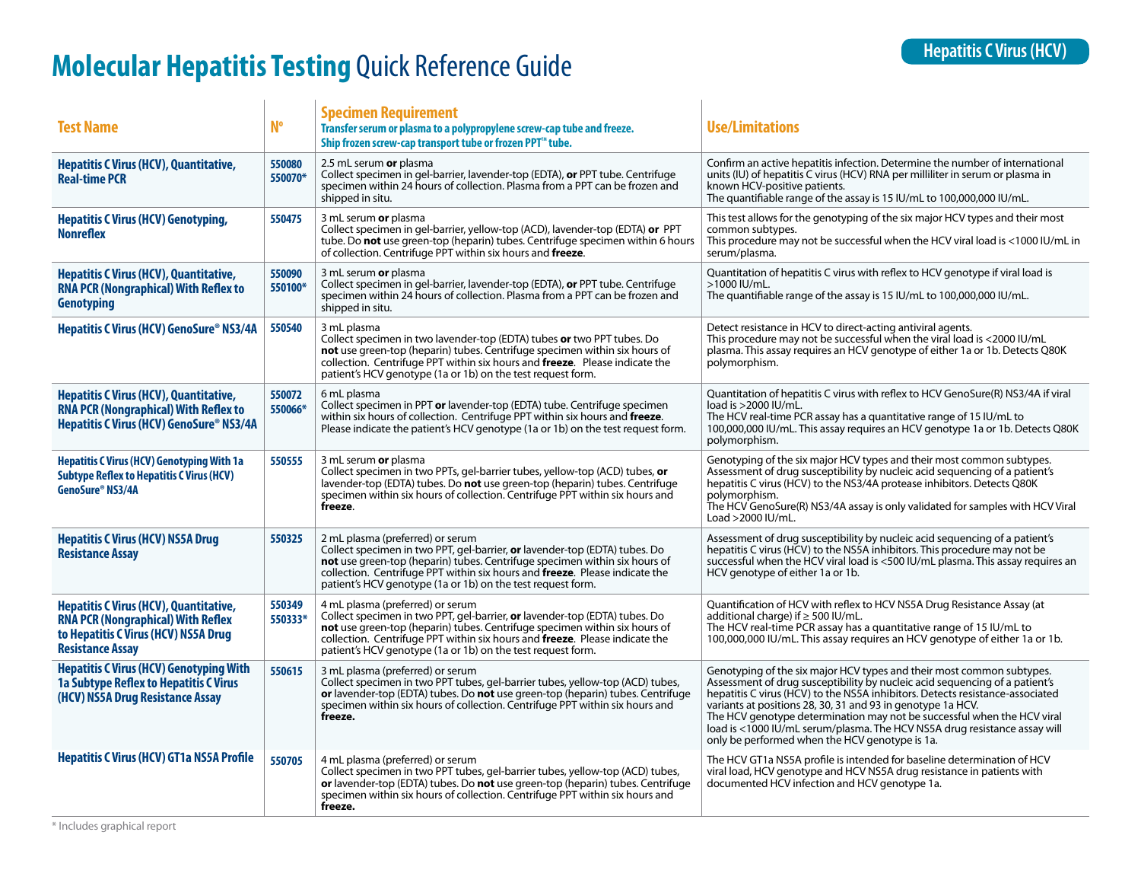## **Molecular Hepatitis Testing** Quick Reference Guide<br> **Molecular Hepatitis Testing** Quick Reference Guide

| <b>Test Name</b>                                                                                                                                              | <b>N°</b>         | <b>Specimen Requirement</b><br>Transfer serum or plasma to a polypropylene screw-cap tube and freeze.<br>Ship frozen screw-cap transport tube or frozen PPT™ tube.                                                                                                                                                                         | <b>Use/Limitations</b>                                                                                                                                                                                                                                                                                                                                                                                                                                                                                         |
|---------------------------------------------------------------------------------------------------------------------------------------------------------------|-------------------|--------------------------------------------------------------------------------------------------------------------------------------------------------------------------------------------------------------------------------------------------------------------------------------------------------------------------------------------|----------------------------------------------------------------------------------------------------------------------------------------------------------------------------------------------------------------------------------------------------------------------------------------------------------------------------------------------------------------------------------------------------------------------------------------------------------------------------------------------------------------|
| <b>Hepatitis C Virus (HCV), Quantitative,</b><br><b>Real-time PCR</b>                                                                                         | 550080<br>550070* | 2.5 mL serum or plasma<br>Collect specimen in gel-barrier, lavender-top (EDTA), or PPT tube. Centrifuge<br>specimen within 24 hours of collection. Plasma from a PPT can be frozen and<br>shipped in situ.                                                                                                                                 | Confirm an active hepatitis infection. Determine the number of international<br>units (IU) of hepatitis C virus (HCV) RNA per milliliter in serum or plasma in<br>known HCV-positive patients.<br>The quantifiable range of the assay is 15 IU/mL to 100,000,000 IU/mL.                                                                                                                                                                                                                                        |
| <b>Hepatitis C Virus (HCV) Genotyping,</b><br><b>Nonreflex</b>                                                                                                | 550475            | 3 mL serum or plasma<br>Collect specimen in gel-barrier, yellow-top (ACD), lavender-top (EDTA) or PPT<br>tube. Do not use green-top (heparin) tubes. Centrifuge specimen within 6 hours<br>of collection. Centrifuge PPT within six hours and freeze.                                                                                      | This test allows for the genotyping of the six major HCV types and their most<br>common subtypes.<br>This procedure may not be successful when the HCV viral load is <1000 IU/mL in<br>serum/plasma.                                                                                                                                                                                                                                                                                                           |
| <b>Hepatitis C Virus (HCV), Quantitative,</b><br><b>RNA PCR (Nongraphical) With Reflex to</b><br>Genotyping                                                   | 550090<br>550100* | 3 mL serum or plasma<br>Collect specimen in gel-barrier, lavender-top (EDTA), or PPT tube. Centrifuge<br>specimen within 24 hours of collection. Plasma from a PPT can be frozen and<br>shipped in situ.                                                                                                                                   | Quantitation of hepatitis C virus with reflex to HCV genotype if viral load is<br>>1000 IU/mL.<br>The quantifiable range of the assay is 15 IU/mL to 100,000,000 IU/mL.                                                                                                                                                                                                                                                                                                                                        |
| Hepatitis C Virus (HCV) GenoSure® NS3/4A                                                                                                                      | 550540            | 3 mL plasma<br>Collect specimen in two lavender-top (EDTA) tubes or two PPT tubes. Do<br>not use green-top (heparin) tubes. Centrifuge specimen within six hours of<br>collection. Centrifuge PPT within six hours and freeze. Please indicate the<br>patient's HCV genotype (1a or 1b) on the test request form.                          | Detect resistance in HCV to direct-acting antiviral agents.<br>This procedure may not be successful when the viral load is <2000 IU/mL<br>plasma. This assay requires an HCV genotype of either 1a or 1b. Detects Q80K<br>polymorphism.                                                                                                                                                                                                                                                                        |
| <b>Hepatitis C Virus (HCV), Quantitative,</b><br><b>RNA PCR (Nongraphical) With Reflex to</b><br>Hepatitis C Virus (HCV) GenoSure® NS3/4A                     | 550072<br>550066* | 6 mL plasma<br>Collect specimen in PPT or lavender-top (EDTA) tube. Centrifuge specimen<br>within six hours of collection. Centrifuge PPT within six hours and freeze.<br>Please indicate the patient's HCV genotype (1a or 1b) on the test request form.                                                                                  | Quantitation of hepatitis C virus with reflex to HCV GenoSure(R) NS3/4A if viral<br>load is >2000 IU/mL.<br>The HCV real-time PCR assay has a quantitative range of 15 IU/mL to<br>100,000,000 IU/mL. This assay requires an HCV genotype 1a or 1b. Detects Q80K<br>polymorphism.                                                                                                                                                                                                                              |
| <b>Hepatitis C Virus (HCV) Genotyping With 1a</b><br><b>Subtype Reflex to Hepatitis C Virus (HCV)</b><br>GenoSure® NS3/4A                                     | 550555            | 3 mL serum or plasma<br>Collect specimen in two PPTs, gel-barrier tubes, yellow-top (ACD) tubes, or<br>lavender-top (EDTA) tubes. Do not use green-top (heparin) tubes. Centrifuge<br>specimen within six hours of collection. Centrifuge PPT within six hours and<br>freeze.                                                              | Genotyping of the six major HCV types and their most common subtypes.<br>Assessment of drug susceptibility by nucleic acid sequencing of a patient's<br>hepatitis C virus (HCV) to the NS3/4A protease inhibitors. Detects Q80K<br>polymorphism.<br>The HCV GenoSure(R) NS3/4A assay is only validated for samples with HCV Viral<br>Load >2000 IU/mL.                                                                                                                                                         |
| <b>Hepatitis C Virus (HCV) NS5A Drug</b><br><b>Resistance Assay</b>                                                                                           | 550325            | 2 mL plasma (preferred) or serum<br>Collect specimen in two PPT, gel-barrier, or lavender-top (EDTA) tubes. Do<br>not use green-top (heparin) tubes. Centrifuge specimen within six hours of<br>collection. Centrifuge PPT within six hours and freeze. Please indicate the<br>patient's HCV genotype (1a or 1b) on the test request form. | Assessment of drug susceptibility by nucleic acid sequencing of a patient's<br>hepatitis C virus (HCV) to the NS5A inhibitors. This procedure may not be<br>successful when the HCV viral load is <500 IU/mL plasma. This assay requires an<br>HCV genotype of either 1a or 1b.                                                                                                                                                                                                                                |
| <b>Hepatitis C Virus (HCV), Quantitative,</b><br><b>RNA PCR (Nongraphical) With Reflex</b><br>to Hepatitis C Virus (HCV) NS5A Drug<br><b>Resistance Assay</b> | 550349<br>550333* | 4 mL plasma (preferred) or serum<br>Collect specimen in two PPT, gel-barrier, or lavender-top (EDTA) tubes. Do<br>not use green-top (heparin) tubes. Centrifuge specimen within six hours of<br>collection. Centrifuge PPT within six hours and freeze. Please indicate the<br>patient's HCV genotype (1a or 1b) on the test request form. | Quantification of HCV with reflex to HCV NS5A Drug Resistance Assay (at<br>additional charge) if $\geq$ 500 IU/mL.<br>The HCV real-time PCR assay has a quantitative range of 15 IU/mL to<br>100,000,000 IU/mL. This assay requires an HCV genotype of either 1a or 1b.                                                                                                                                                                                                                                        |
| <b>Hepatitis C Virus (HCV) Genotyping With</b><br><b>1a Subtype Reflex to Hepatitis C Virus</b><br>(HCV) NS5A Drug Resistance Assay                           | 550615            | 3 mL plasma (preferred) or serum<br>Collect specimen in two PPT tubes, gel-barrier tubes, yellow-top (ACD) tubes,<br>or lavender-top (EDTA) tubes. Do not use green-top (heparin) tubes. Centrifuge<br>specimen within six hours of collection. Centrifuge PPT within six hours and<br>freeze.                                             | Genotyping of the six major HCV types and their most common subtypes.<br>Assessment of drug susceptibility by nucleic acid sequencing of a patient's<br>hepatitis C virus (HCV) to the NS5A inhibitors. Detects resistance-associated<br>variants at positions 28, 30, 31 and 93 in genotype 1a HCV.<br>The HCV genotype determination may not be successful when the HCV viral<br>load is <1000 IU/mL serum/plasma. The HCV NS5A drug resistance assay will<br>only be performed when the HCV genotype is 1a. |
| <b>Hepatitis C Virus (HCV) GT1a NS5A Profile</b>                                                                                                              | 550705            | 4 mL plasma (preferred) or serum<br>Collect specimen in two PPT tubes, gel-barrier tubes, yellow-top (ACD) tubes,<br>or lavender-top (EDTA) tubes. Do not use green-top (heparin) tubes. Centrifuge<br>specimen within six hours of collection. Centrifuge PPT within six hours and<br>freeze.                                             | The HCV GT1a NS5A profile is intended for baseline determination of HCV<br>viral load, HCV genotype and HCV NS5A drug resistance in patients with<br>documented HCV infection and HCV genotype 1a.                                                                                                                                                                                                                                                                                                             |